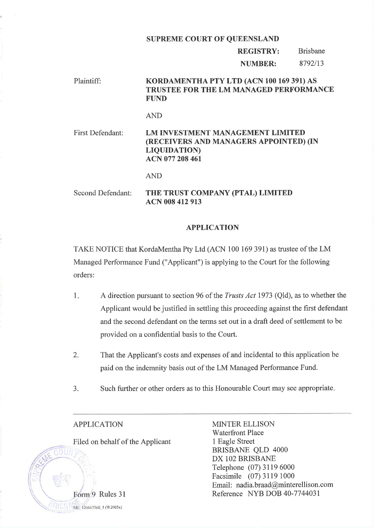#### SUPREME COURT OF QUEENSLAND

REGISTRY: NUMBER: Brisbane 8792/13

# Plaintiff: KORDAMENTHA PTY LTD (ACN 100 169 391) AS TRUSTEE FOR THE LM MANAGED PERFORMANCE FUND

### AND

First Defendant: LM INVESTMENT MANAGEMENT LIMITED (RECEIVERS AND MANAGERS APPOINTED) (IN LIQUIDATION) ACN 077 208 461

AND

Second Defendant: THE TRUST COMPANY (PTAL) LIMITED ACN 008 412 913

### APPLICATION

TAKE NOTICE that KordaMentha Pty Ltd (ACN 100 169 391) as trustee of the LM Managed Performance Fund ("Applicant") is applying to the Court for the following orders:

- A direction pursuant to section 96 of the Trusts Act 1973 (Qld), as to whether the Applicant would be justified in settling this proceeding against the first defendant and the second defendant on the terms set out in a draft deed of settlement to be provided on a confidential basis to the Court. I
- That the Applicant's costs and expenses of and incidental to this application be paid on the indemnity basis out of the LM Managed Performance Fund. 2.
- 3. Such further or other orders as to this Honourable Court may see appropriate

## APPLICATION

Eorm 9 Rules 31

 $15$  ME-126067568 1 (W2003x)

 $C_2$  $O<sub>U</sub>$ 

I

Filed on behalf of the Applicant

MINTER ELLISON **Waterfront Place** 1 Eagle Street BRISBANE QLD 4000 DX IO2 BRISBANE Telephone (07) 3l 19 6000 Facsimile (07) 3119 1000 Email: nadia.braad@minterellison.com Reference NYB DOB 40-7744031